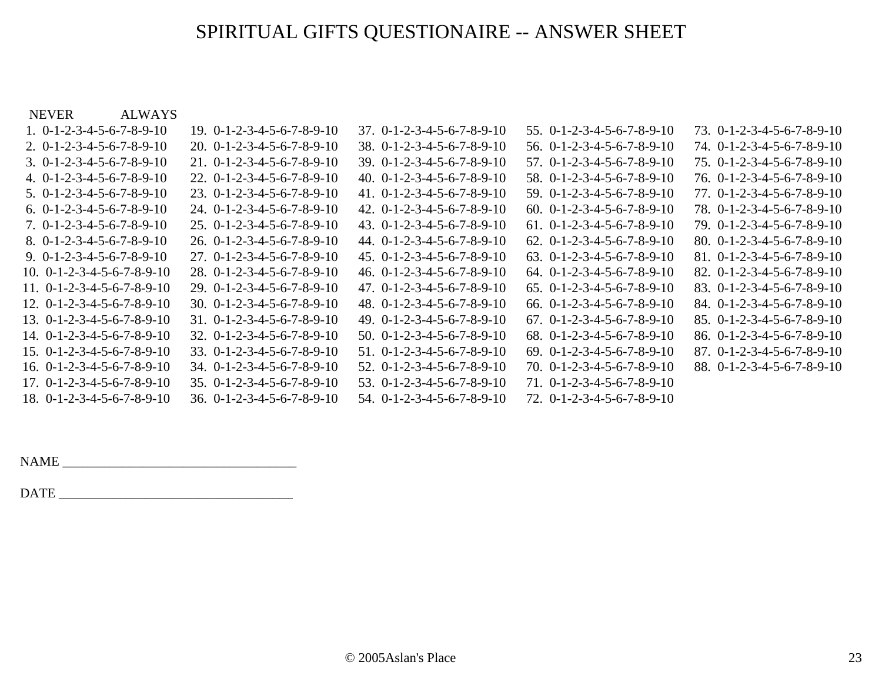## SPIRITUAL GIFTS QUESTIONAIRE -- ANSWER SHEET

| ALWAYS<br><b>NEVER</b>                           |                                                  |                                                  |                                                  |                                                  |
|--------------------------------------------------|--------------------------------------------------|--------------------------------------------------|--------------------------------------------------|--------------------------------------------------|
| 1. $0-1-2-3-4-5-6-7-8-9-10$                      | $19. 0 - 1 - 2 - 3 - 4 - 5 - 6 - 7 - 8 - 9 - 10$ | $37.0 - 1 - 2 - 3 - 4 - 5 - 6 - 7 - 8 - 9 - 10$  | $55. 0 - 1 - 2 - 3 - 4 - 5 - 6 - 7 - 8 - 9 - 10$ | $73. 0 - 1 - 2 - 3 - 4 - 5 - 6 - 7 - 8 - 9 - 10$ |
| $2. 0 - 1 - 2 - 3 - 4 - 5 - 6 - 7 - 8 - 9 - 10$  | $20. 0 - 1 - 2 - 3 - 4 - 5 - 6 - 7 - 8 - 9 - 10$ | $38. 0 - 1 - 2 - 3 - 4 - 5 - 6 - 7 - 8 - 9 - 10$ | $56. 0 - 1 - 2 - 3 - 4 - 5 - 6 - 7 - 8 - 9 - 10$ | $74. 0 - 1 - 2 - 3 - 4 - 5 - 6 - 7 - 8 - 9 - 10$ |
| $3. 0 - 1 - 2 - 3 - 4 - 5 - 6 - 7 - 8 - 9 - 10$  | $21. 0 - 1 - 2 - 3 - 4 - 5 - 6 - 7 - 8 - 9 - 10$ | $39. 0 - 1 - 2 - 3 - 4 - 5 - 6 - 7 - 8 - 9 - 10$ | $57.$ 0-1-2-3-4-5-6-7-8-9-10                     | $75. 0 - 1 - 2 - 3 - 4 - 5 - 6 - 7 - 8 - 9 - 10$ |
| 4. $0-1-2-3-4-5-6-7-8-9-10$                      | $22. 0 - 1 - 2 - 3 - 4 - 5 - 6 - 7 - 8 - 9 - 10$ | 40. $0-1-2-3-4-5-6-7-8-9-10$                     | $58. 0 - 1 - 2 - 3 - 4 - 5 - 6 - 7 - 8 - 9 - 10$ | $76. 0 - 1 - 2 - 3 - 4 - 5 - 6 - 7 - 8 - 9 - 10$ |
| $5. 0 - 1 - 2 - 3 - 4 - 5 - 6 - 7 - 8 - 9 - 10$  | $23. 0 - 1 - 2 - 3 - 4 - 5 - 6 - 7 - 8 - 9 - 10$ | 41. $0-1-2-3-4-5-6-7-8-9-10$                     | $59. 0 - 1 - 2 - 3 - 4 - 5 - 6 - 7 - 8 - 9 - 10$ | $77.0 - 1 - 2 - 3 - 4 - 5 - 6 - 7 - 8 - 9 - 10$  |
| $6. 0 - 1 - 2 - 3 - 4 - 5 - 6 - 7 - 8 - 9 - 10$  | $24.0 - 1 - 2 - 3 - 4 - 5 - 6 - 7 - 8 - 9 - 10$  | $42. 0 - 1 - 2 - 3 - 4 - 5 - 6 - 7 - 8 - 9 - 10$ | $60. 0 - 1 - 2 - 3 - 4 - 5 - 6 - 7 - 8 - 9 - 10$ | 78. 0-1-2-3-4-5-6-7-8-9-10                       |
| $7.0 - 1 - 2 - 3 - 4 - 5 - 6 - 7 - 8 - 9 - 10$   | $25. 0 - 1 - 2 - 3 - 4 - 5 - 6 - 7 - 8 - 9 - 10$ | $43.0 - 1 - 2 - 3 - 4 - 5 - 6 - 7 - 8 - 9 - 10$  | $61.$ 0-1-2-3-4-5-6-7-8-9-10                     | $79. 0 - 1 - 2 - 3 - 4 - 5 - 6 - 7 - 8 - 9 - 10$ |
| $8. 0 - 1 - 2 - 3 - 4 - 5 - 6 - 7 - 8 - 9 - 10$  | $26. 0 - 1 - 2 - 3 - 4 - 5 - 6 - 7 - 8 - 9 - 10$ | $44. 0 - 1 - 2 - 3 - 4 - 5 - 6 - 7 - 8 - 9 - 10$ | $62. 0 - 1 - 2 - 3 - 4 - 5 - 6 - 7 - 8 - 9 - 10$ | $80. 0 - 1 - 2 - 3 - 4 - 5 - 6 - 7 - 8 - 9 - 10$ |
| 9. $0-1-2-3-4-5-6-7-8-9-10$                      | $27.0 - 1 - 2 - 3 - 4 - 5 - 6 - 7 - 8 - 9 - 10$  | $45. 0 - 1 - 2 - 3 - 4 - 5 - 6 - 7 - 8 - 9 - 10$ | $63. 0 - 1 - 2 - 3 - 4 - 5 - 6 - 7 - 8 - 9 - 10$ | $81. 0 - 1 - 2 - 3 - 4 - 5 - 6 - 7 - 8 - 9 - 10$ |
| 10. $0-1-2-3-4-5-6-7-8-9-10$                     | $28. 0 - 1 - 2 - 3 - 4 - 5 - 6 - 7 - 8 - 9 - 10$ | 46. $0-1-2-3-4-5-6-7-8-9-10$                     | $64. 0 - 1 - 2 - 3 - 4 - 5 - 6 - 7 - 8 - 9 - 10$ | $82. 0 - 1 - 2 - 3 - 4 - 5 - 6 - 7 - 8 - 9 - 10$ |
| 11. $0-1-2-3-4-5-6-7-8-9-10$                     | $29. 0 - 1 - 2 - 3 - 4 - 5 - 6 - 7 - 8 - 9 - 10$ | $47. 0 - 1 - 2 - 3 - 4 - 5 - 6 - 7 - 8 - 9 - 10$ | $65. 0 - 1 - 2 - 3 - 4 - 5 - 6 - 7 - 8 - 9 - 10$ | 83. $0-1-2-3-4-5-6-7-8-9-10$                     |
| $12. 0 - 1 - 2 - 3 - 4 - 5 - 6 - 7 - 8 - 9 - 10$ | $30. 0 - 1 - 2 - 3 - 4 - 5 - 6 - 7 - 8 - 9 - 10$ | 48. $0-1-2-3-4-5-6-7-8-9-10$                     | 66. $0-1-2-3-4-5-6-7-8-9-10$                     | $84. 0 - 1 - 2 - 3 - 4 - 5 - 6 - 7 - 8 - 9 - 10$ |
| $13. 0 - 1 - 2 - 3 - 4 - 5 - 6 - 7 - 8 - 9 - 10$ | $31. 0 - 1 - 2 - 3 - 4 - 5 - 6 - 7 - 8 - 9 - 10$ | $49. 0 - 1 - 2 - 3 - 4 - 5 - 6 - 7 - 8 - 9 - 10$ | $67.$ 0-1-2-3-4-5-6-7-8-9-10                     | $85. 0 - 1 - 2 - 3 - 4 - 5 - 6 - 7 - 8 - 9 - 10$ |
| $14. 0 - 1 - 2 - 3 - 4 - 5 - 6 - 7 - 8 - 9 - 10$ | $32. 0 - 1 - 2 - 3 - 4 - 5 - 6 - 7 - 8 - 9 - 10$ | $50. 0 - 1 - 2 - 3 - 4 - 5 - 6 - 7 - 8 - 9 - 10$ | 68. $0-1-2-3-4-5-6-7-8-9-10$                     | $86. 0 - 1 - 2 - 3 - 4 - 5 - 6 - 7 - 8 - 9 - 10$ |
| $15. 0 - 1 - 2 - 3 - 4 - 5 - 6 - 7 - 8 - 9 - 10$ | $33. 0 - 1 - 2 - 3 - 4 - 5 - 6 - 7 - 8 - 9 - 10$ | $51. 0 - 1 - 2 - 3 - 4 - 5 - 6 - 7 - 8 - 9 - 10$ | $69. 0 - 1 - 2 - 3 - 4 - 5 - 6 - 7 - 8 - 9 - 10$ | $87.0 - 1 - 2 - 3 - 4 - 5 - 6 - 7 - 8 - 9 - 10$  |
| 16. $0-1-2-3-4-5-6-7-8-9-10$                     | $34. 0 - 1 - 2 - 3 - 4 - 5 - 6 - 7 - 8 - 9 - 10$ | $52.$ 0-1-2-3-4-5-6-7-8-9-10                     | $70.$ $0-1-2-3-4-5-6-7-8-9-10$                   | $88.$ 0-1-2-3-4-5-6-7-8-9-10                     |
| $17. 0 - 1 - 2 - 3 - 4 - 5 - 6 - 7 - 8 - 9 - 10$ | $35. 0 - 1 - 2 - 3 - 4 - 5 - 6 - 7 - 8 - 9 - 10$ | $53. 0 - 1 - 2 - 3 - 4 - 5 - 6 - 7 - 8 - 9 - 10$ | $71.0 - 1 - 2 - 3 - 4 - 5 - 6 - 7 - 8 - 9 - 10$  |                                                  |
| $18. 0 - 1 - 2 - 3 - 4 - 5 - 6 - 7 - 8 - 9 - 10$ | $36. 0 - 1 - 2 - 3 - 4 - 5 - 6 - 7 - 8 - 9 - 10$ | $54.0 - 1 - 2 - 3 - 4 - 5 - 6 - 7 - 8 - 9 - 10$  | $72.$ 0-1-2-3-4-5-6-7-8-9-10                     |                                                  |

NAME \_\_\_\_\_\_\_\_\_\_\_\_\_\_\_\_\_\_\_\_\_\_\_\_\_\_\_\_\_\_\_\_\_\_\_

DATE \_\_\_\_\_\_\_\_\_\_\_\_\_\_\_\_\_\_\_\_\_\_\_\_\_\_\_\_\_\_\_\_\_\_\_